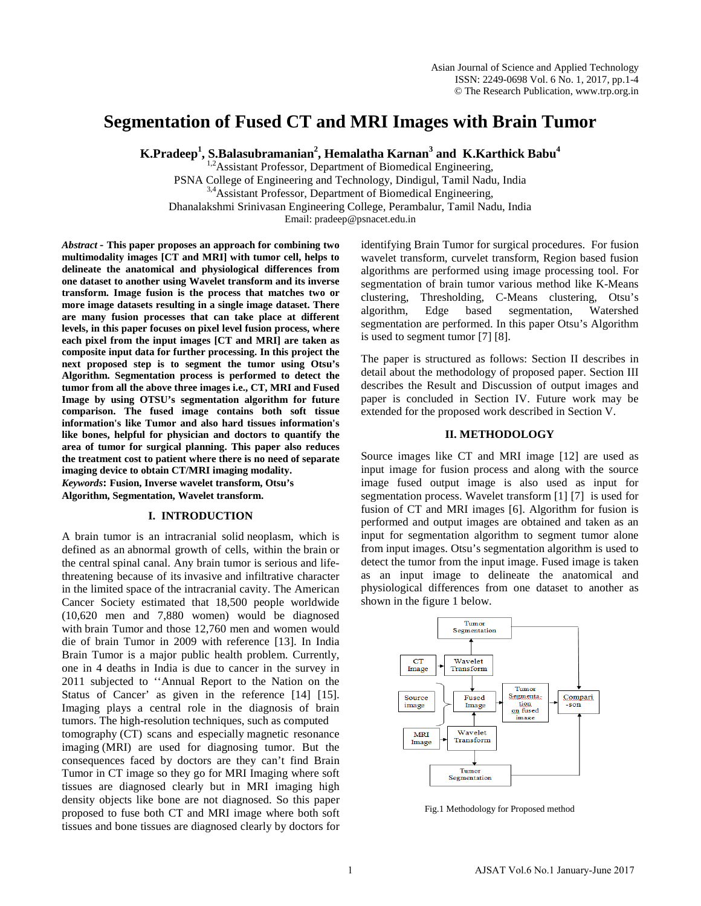# **Segmentation of Fused CT and MRI Images with Brain Tumor**

 $\boldsymbol{\mathrm{K}}.\boldsymbol{\mathrm{P}}$ radeep $^{1}$ ,  $\boldsymbol{\mathrm{S}}.\boldsymbol{\mathrm{B}}$ alasubramanian $^{2}$ , Hemalatha Karnan $^{3}$  and  $\boldsymbol{\mathrm{K}}.\boldsymbol{\mathrm{K}}$ arthick Babu $^{4}$ 

<sup>1,2</sup>Assistant Professor, Department of Biomedical Engineering, PSNA College of Engineering and Technology, Dindigul, Tamil Nadu, India <sup>3,4</sup>Assistant Professor, Department of Biomedical Engineering, Dhanalakshmi Srinivasan Engineering College, Perambalur, Tamil Nadu, India Email: pradeep@psnacet.edu.in

*Abstract* **- This paper proposes an approach for combining two multimodality images [CT and MRI] with tumor cell, helps to delineate the anatomical and physiological differences from one dataset to another using Wavelet transform and its inverse transform. Image fusion is the process that matches two or more image datasets resulting in a single image dataset. There are many fusion processes that can take place at different levels, in this paper focuses on pixel level fusion process, where each pixel from the input images [CT and MRI] are taken as composite input data for further processing. In this project the next proposed step is to segment the tumor using Otsu's Algorithm. Segmentation process is performed to detect the tumor from all the above three images i.e., CT, MRI and Fused Image by using OTSU's segmentation algorithm for future comparison. The fused image contains both soft tissue information's like Tumor and also hard tissues information's like bones, helpful for physician and doctors to quantify the area of tumor for surgical planning. This paper also reduces the treatment cost to patient where there is no need of separate imaging device to obtain CT/MRI imaging modality.** *Keywords***: Fusion, Inverse wavelet transform, Otsu's** 

**Algorithm, Segmentation, Wavelet transform.** 

### **I. INTRODUCTION**

A brain tumor is an intracranial solid [neoplasm,](http://en.wikipedia.org/wiki/Neoplasm) which is defined as an abnormal growth of cells, within the [brain](http://en.wikipedia.org/wiki/Human_brain) or the central spinal canal. Any brain tumor is serious and lifethreatening because of its [invasive](http://en.wikipedia.org/wiki/Invasive) and infiltrative character in the limited space of the intracranial cavity. The American Cancer Society estimated that 18,500 people worldwide (10,620 men and 7,880 women) would be diagnosed with brain Tumor and those 12,760 men and women would die of brain Tumor in 2009 with reference [13]. In India Brain Tumor is a major public health problem. Currently, one in 4 deaths in India is due to cancer in the survey in 2011 subjected to ''Annual Report to the Nation on the Status of Cancer' as given in the reference [14] [15]. Imaging plays a central role in the diagnosis of brain tumors. The high-resolution techniques, such as computed

tomography (CT) scans and especially magnetic resonance imaging (MRI) are used for diagnosing tumor. But the consequences faced by doctors are they can't find Brain Tumor in CT image so they go for MRI Imaging where soft tissues are diagnosed clearly but in MRI imaging high density objects like bone are not diagnosed. So this paper proposed to fuse both CT and MRI image where both soft tissues and bone tissues are diagnosed clearly by doctors for

identifying Brain Tumor for surgical procedures. For fusion wavelet transform, curvelet transform, Region based fusion algorithms are performed using image processing tool. For segmentation of brain tumor various method like K-Means clustering, Thresholding, C-Means clustering, Otsu's algorithm, Edge based segmentation, Watershed segmentation are performed. In this paper Otsu's Algorithm is used to segment tumor [7] [8].

The paper is structured as follows: Section II describes in detail about the methodology of proposed paper. Section III describes the Result and Discussion of output images and paper is concluded in Section IV. Future work may be extended for the proposed work described in Section V.

# **II. METHODOLOGY**

Source images like CT and MRI image [12] are used as input image for fusion process and along with the source image fused output image is also used as input for segmentation process. Wavelet transform [1] [7] is used for fusion of CT and MRI images [6]. Algorithm for fusion is performed and output images are obtained and taken as an input for segmentation algorithm to segment tumor alone from input images. Otsu's segmentation algorithm is used to detect the tumor from the input image. Fused image is taken as an input image to delineate the anatomical and physiological differences from one dataset to another as shown in the figure 1 below.



Fig.1 Methodology for Proposed method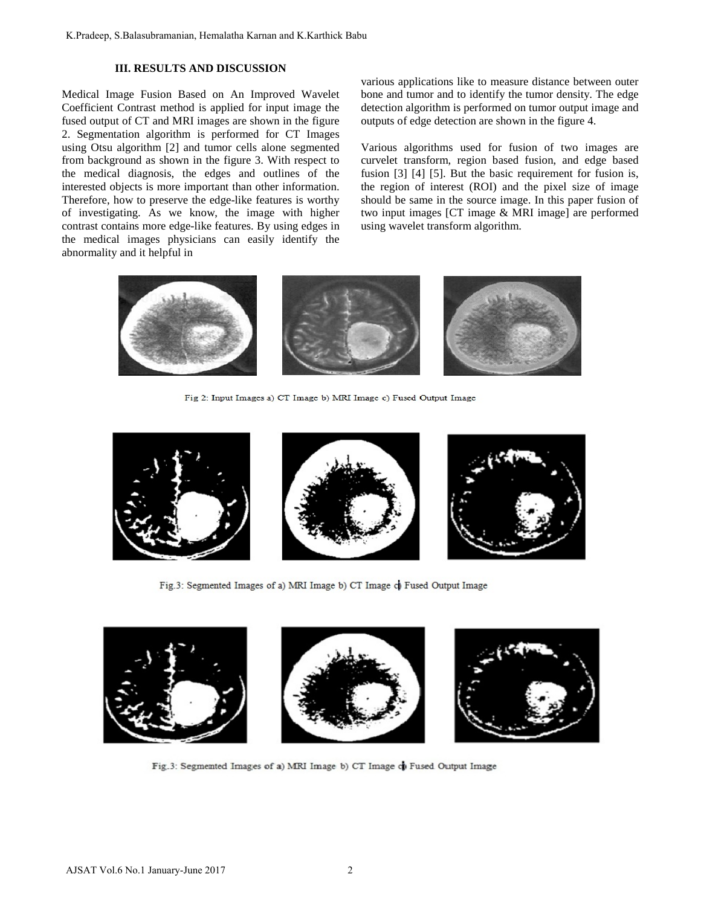# **III. RESULTS AND DISCUSSION**

Medical Image Fusion Based on An Improved Wavelet Coefficient Contrast method is applied for input image the fused output of CT and MRI images are shown in the figure 2. Segmentation algorithm is performed for CT Images using Otsu algorithm [2] and tumor cells alone segmented from background as shown in the figure 3. With respect to the medical diagnosis, the edges and outlines of the interested objects is more important than other information. Therefore, how to preserve the edge-like features is worthy of investigating. As we know, the image with higher contrast contains more edge-like features. By using edges in the medical images physicians can easily identify the abnormality and it helpful in

various applications like to measure distance between outer bone and tumor and to identify the tumor density. The edge detection algorithm is performed on tumor output image and outputs of edge detection are shown in the figure 4.

Various algorithms used for fusion of two images are curvelet transform, region based fusion, and edge based fusion [3] [4] [5]. But the basic requirement for fusion is, the region of interest (ROI) and the pixel size of image should be same in the source image. In this paper fusion of two input images [CT image & MRI image] are performed using wavelet transform algorithm.



Fig 2: Input Images a) CT Image b) MRI Image c) Fused Output Image







Fig.3: Segmented Images of a) MRI Image b) CT Image c) Fused Output Image



Fig.3: Segmented Images of a) MRI Image b) CT Image of Fused Output Image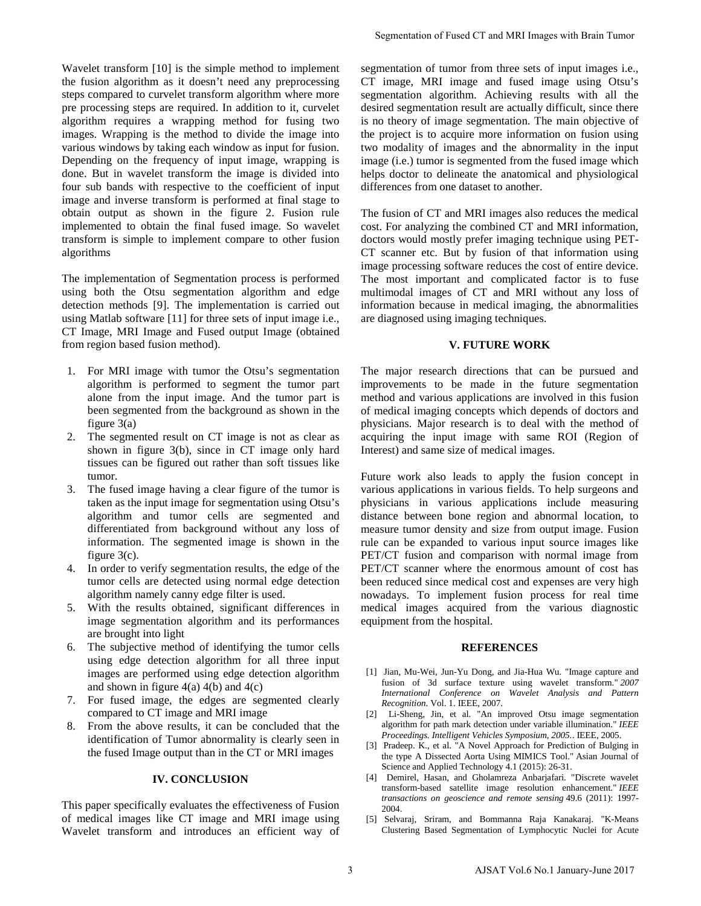Wavelet transform [10] is the simple method to implement the fusion algorithm as it doesn't need any preprocessing steps compared to curvelet transform algorithm where more pre processing steps are required. In addition to it, curvelet algorithm requires a wrapping method for fusing two images. Wrapping is the method to divide the image into various windows by taking each window as input for fusion. Depending on the frequency of input image, wrapping is done. But in wavelet transform the image is divided into four sub bands with respective to the coefficient of input image and inverse transform is performed at final stage to obtain output as shown in the figure 2. Fusion rule implemented to obtain the final fused image. So wavelet transform is simple to implement compare to other fusion algorithms

The implementation of Segmentation process is performed using both the Otsu segmentation algorithm and edge detection methods [9]. The implementation is carried out using Matlab software [11] for three sets of input image i.e., CT Image, MRI Image and Fused output Image (obtained from region based fusion method).

- 1. For MRI image with tumor the Otsu's segmentation algorithm is performed to segment the tumor part alone from the input image. And the tumor part is been segmented from the background as shown in the figure 3(a)
- 2. The segmented result on CT image is not as clear as shown in figure 3(b), since in CT image only hard tissues can be figured out rather than soft tissues like tumor.
- 3. The fused image having a clear figure of the tumor is taken as the input image for segmentation using Otsu's algorithm and tumor cells are segmented and differentiated from background without any loss of information. The segmented image is shown in the figure 3(c).
- 4. In order to verify segmentation results, the edge of the tumor cells are detected using normal edge detection algorithm namely canny edge filter is used.
- 5. With the results obtained, significant differences in image segmentation algorithm and its performances are brought into light
- 6. The subjective method of identifying the tumor cells using edge detection algorithm for all three input images are performed using edge detection algorithm and shown in figure  $4(a)$  4(b) and  $4(c)$
- 7. For fused image, the edges are segmented clearly compared to CT image and MRI image
- 8. From the above results, it can be concluded that the identification of Tumor abnormality is clearly seen in the fused Image output than in the CT or MRI images

# **IV. CONCLUSION**

This paper specifically evaluates the effectiveness of Fusion of medical images like CT image and MRI image using Wavelet transform and introduces an efficient way of

segmentation of tumor from three sets of input images i.e., CT image, MRI image and fused image using Otsu's segmentation algorithm. Achieving results with all the desired segmentation result are actually difficult, since there is no theory of image segmentation. The main objective of the project is to acquire more information on fusion using two modality of images and the abnormality in the input image (i.e.) tumor is segmented from the fused image which helps doctor to delineate the anatomical and physiological differences from one dataset to another.

The fusion of CT and MRI images also reduces the medical cost. For analyzing the combined CT and MRI information, doctors would mostly prefer imaging technique using PET-CT scanner etc. But by fusion of that information using image processing software reduces the cost of entire device. The most important and complicated factor is to fuse multimodal images of CT and MRI without any loss of information because in medical imaging, the abnormalities are diagnosed using imaging techniques.

## **V. FUTURE WORK**

The major research directions that can be pursued and improvements to be made in the future segmentation method and various applications are involved in this fusion of medical imaging concepts which depends of doctors and physicians. Major research is to deal with the method of acquiring the input image with same ROI (Region of Interest) and same size of medical images.

Future work also leads to apply the fusion concept in various applications in various fields. To help surgeons and physicians in various applications include measuring distance between bone region and abnormal location, to measure tumor density and size from output image. Fusion rule can be expanded to various input source images like PET/CT fusion and comparison with normal image from PET/CT scanner where the enormous amount of cost has been reduced since medical cost and expenses are very high nowadays. To implement fusion process for real time medical images acquired from the various diagnostic equipment from the hospital. Segmentation of Fused CT and MRI Images with Brain Tumor<br>
script of three from from three acts of input images i.e.<br>
script and the state of the state of the state of the state of the<br>
state of the state of the state of t

#### **REFERENCES**

- [1] Jian, Mu-Wei, Jun-Yu Dong, and Jia-Hua Wu. "Image capture and fusion of 3d surface texture using wavelet transform." *2007 International Conference on Wavelet Analysis and Pattern Recognition*. Vol. 1. IEEE, 2007.
- [2] Li-Sheng, Jin, et al. "An improved Otsu image segmentation algorithm for path mark detection under variable illumination." *IEEE Proceedings. Intelligent Vehicles Symposium, 2005.*. IEEE, 2005.
- [3] Pradeep. K., et al. "A Novel Approach for Prediction of Bulging in the type A Dissected Aorta Using MIMICS Tool." Asian Journal of Science and Applied Technology 4.1 (2015): 26-31.
- [4] Demirel, Hasan, and Gholamreza Anbarjafari. "Discrete wavelet transform-based satellite image resolution enhancement." *IEEE transactions on geoscience and remote sensing* 49.6 (2011): 1997- 2004.
- [5] Selvaraj, Sriram, and Bommanna Raja Kanakaraj. "K-Means Clustering Based Segmentation of Lymphocytic Nuclei for Acute